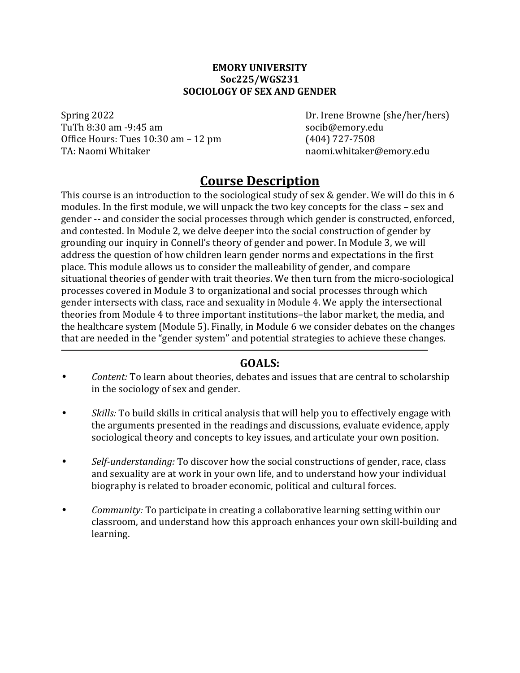#### **EMORY UNIVERSITY Soc225/WGS231 SOCIOLOGY OF SEX AND GENDER**

Spring 2022 Dr. Irene Browne (she/her/hers) TuTh 8:30 am -9:45 am socib@emory.edu Office Hours: Tues 10:30 am – 12 pm (404) 727-7508 TA: Naomi Whitaker naby a manusulation of the naomi.whitaker@emory.edu

## **Course Description**

This course is an introduction to the sociological study of sex  $&$  gender. We will do this in 6 modules. In the first module, we will unpack the two key concepts for the class - sex and gender -- and consider the social processes through which gender is constructed, enforced, and contested. In Module 2, we delve deeper into the social construction of gender by grounding our inquiry in Connell's theory of gender and power. In Module 3, we will address the question of how children learn gender norms and expectations in the first place. This module allows us to consider the malleability of gender, and compare situational theories of gender with trait theories. We then turn from the micro-sociological processes covered in Module 3 to organizational and social processes through which gender intersects with class, race and sexuality in Module 4. We apply the intersectional theories from Module 4 to three important institutions-the labor market, the media, and the healthcare system (Module 5). Finally, in Module 6 we consider debates on the changes that are needed in the "gender system" and potential strategies to achieve these changes.

### **GOALS:**

- *Content:* To learn about theories, debates and issues that are central to scholarship in the sociology of sex and gender.
- Skills: To build skills in critical analysis that will help you to effectively engage with the arguments presented in the readings and discussions, evaluate evidence, apply sociological theory and concepts to key issues, and articulate your own position.
- *Self-understanding:* To discover how the social constructions of gender, race, class and sexuality are at work in your own life, and to understand how your individual biography is related to broader economic, political and cultural forces.
- *Community:* To participate in creating a collaborative learning setting within our classroom, and understand how this approach enhances your own skill-building and learning.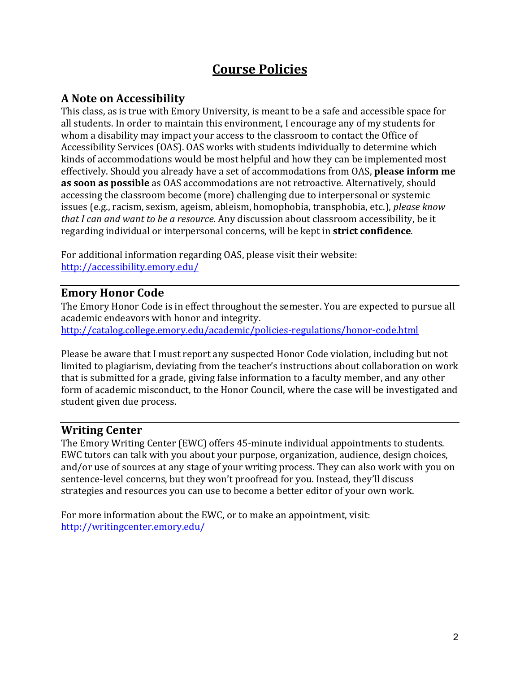# **Course Policies**

## **A Note on Accessibility**

This class, as is true with Emory University, is meant to be a safe and accessible space for all students. In order to maintain this environment, I encourage any of my students for whom a disability may impact your access to the classroom to contact the Office of Accessibility Services (OAS). OAS works with students individually to determine which kinds of accommodations would be most helpful and how they can be implemented most effectively. Should you already have a set of accommodations from OAS, **please inform me as soon as possible** as OAS accommodations are not retroactive. Alternatively, should accessing the classroom become (more) challenging due to interpersonal or systemic issues (e.g., racism, sexism, ageism, ableism, homophobia, transphobia, etc.), *please know that I can and want to be a resource*. Any discussion about classroom accessibility, be it regarding individual or interpersonal concerns, will be kept in **strict confidence**.

For additional information regarding OAS, please visit their website: http://accessibility.emory.edu/

## **Emory Honor Code**

The Emory Honor Code is in effect throughout the semester. You are expected to pursue all academic endeavors with honor and integrity. http://catalog.college.emory.edu/academic/policies-regulations/honor-code.html

Please be aware that I must report any suspected Honor Code violation, including but not limited to plagiarism, deviating from the teacher's instructions about collaboration on work that is submitted for a grade, giving false information to a faculty member, and any other form of academic misconduct, to the Honor Council, where the case will be investigated and student given due process.

### **Writing Center**

The Emory Writing Center (EWC) offers 45-minute individual appointments to students. EWC tutors can talk with you about your purpose, organization, audience, design choices, and/or use of sources at any stage of your writing process. They can also work with you on sentence-level concerns, but they won't proofread for you. Instead, they'll discuss strategies and resources you can use to become a better editor of your own work.

For more information about the EWC, or to make an appointment, visit: http://writingcenter.emory.edu/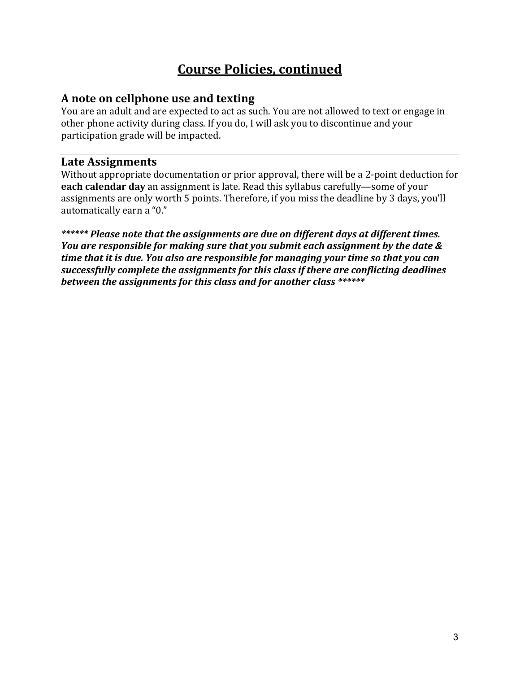# **Course Policies, continued**

### **A** note on cellphone use and texting

You are an adult and are expected to act as such. You are not allowed to text or engage in other phone activity during class. If you do, I will ask you to discontinue and your participation grade will be impacted.

### **Late Assignments**

Without appropriate documentation or prior approval, there will be a 2-point deduction for **each calendar day** an assignment is late. Read this syllabus carefully—some of your assignments are only worth 5 points. Therefore, if you miss the deadline by 3 days, you'll automatically earn a "0."

\*\*\*\*\*\* Please note that the assignments are due on different days at different times. *You are responsible for making sure that you submit each assignment by the date & time that it is due. You also are responsible for managing your time so that you can* successfully complete the assignments for this class if there are conflicting deadlines *between the assignments for this class and for another class* \*\*\*\*\*\*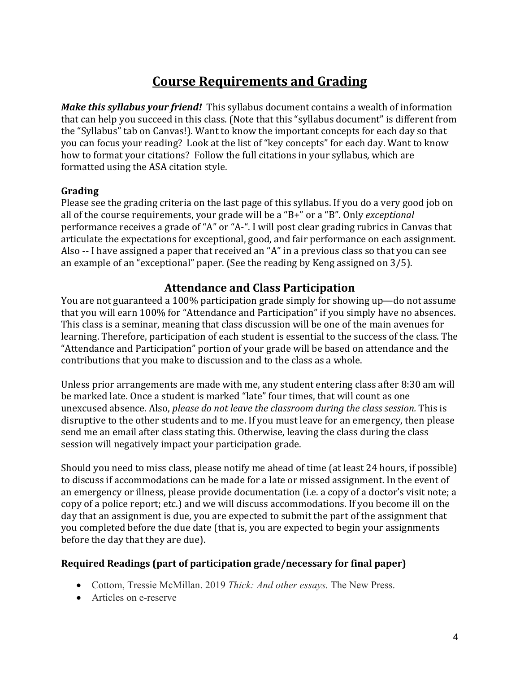# **Course Requirements and Grading**

*Make this syllabus your friend!* This syllabus document contains a wealth of information that can help you succeed in this class. (Note that this "syllabus document" is different from the "Syllabus" tab on Canvas!). Want to know the important concepts for each day so that you can focus your reading? Look at the list of "key concepts" for each day. Want to know how to format your citations? Follow the full citations in your syllabus, which are formatted using the ASA citation style.

### **Grading**

Please see the grading criteria on the last page of this syllabus. If you do a very good job on all of the course requirements, your grade will be a "B+" or a "B". Only *exceptional* performance receives a grade of "A" or "A-". I will post clear grading rubrics in Canvas that articulate the expectations for exceptional, good, and fair performance on each assignment. Also -- I have assigned a paper that received an "A" in a previous class so that you can see an example of an "exceptional" paper. (See the reading by Keng assigned on  $3/5$ ).

### **Attendance and Class Participation**

You are not guaranteed a 100% participation grade simply for showing up—do not assume that you will earn 100% for "Attendance and Participation" if you simply have no absences. This class is a seminar, meaning that class discussion will be one of the main avenues for learning. Therefore, participation of each student is essential to the success of the class. The "Attendance and Participation" portion of your grade will be based on attendance and the contributions that you make to discussion and to the class as a whole.

Unless prior arrangements are made with me, any student entering class after 8:30 am will be marked late. Once a student is marked "late" four times, that will count as one unexcused absence. Also, *please do not leave the classroom during the class session*. This is disruptive to the other students and to me. If you must leave for an emergency, then please send me an email after class stating this. Otherwise, leaving the class during the class session will negatively impact your participation grade.

Should you need to miss class, please notify me ahead of time (at least 24 hours, if possible) to discuss if accommodations can be made for a late or missed assignment. In the event of an emergency or illness, please provide documentation (i.e. a copy of a doctor's visit note; a copy of a police report; etc.) and we will discuss accommodations. If you become ill on the day that an assignment is due, you are expected to submit the part of the assignment that you completed before the due date (that is, you are expected to begin your assignments before the day that they are due).

### **Required Readings (part of participation grade/necessary for final paper)**

- Cottom, Tressie McMillan. 2019 *Thick: And other essays.* The New Press.
- Articles on e-reserve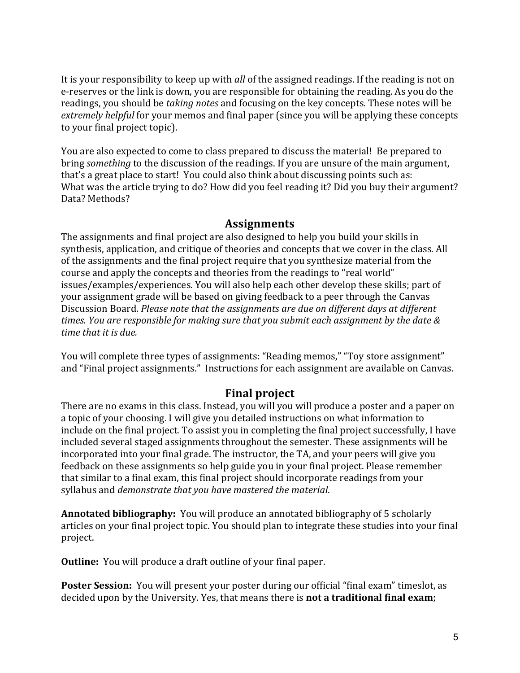It is your responsibility to keep up with *all* of the assigned readings. If the reading is not on e-reserves or the link is down, you are responsible for obtaining the reading. As you do the readings, you should be *taking notes* and focusing on the key concepts. These notes will be *extremely helpful* for your memos and final paper (since you will be applying these concepts to your final project topic).

You are also expected to come to class prepared to discuss the material! Be prepared to bring *something* to the discussion of the readings. If you are unsure of the main argument, that's a great place to start! You could also think about discussing points such as: What was the article trying to do? How did you feel reading it? Did you buy their argument? Data? Methods?

### **Assignments**

The assignments and final project are also designed to help you build your skills in synthesis, application, and critique of theories and concepts that we cover in the class. All of the assignments and the final project require that you synthesize material from the course and apply the concepts and theories from the readings to "real world" issues/examples/experiences. You will also help each other develop these skills; part of your assignment grade will be based on giving feedback to a peer through the Canvas Discussion Board. Please note that the assignments are due on different days at different times. You are responsible for making sure that you submit each assignment by the date & *time that it is due.* 

You will complete three types of assignments: "Reading memos," "Toy store assignment" and "Final project assignments." Instructions for each assignment are available on Canvas.

## **Final project**

There are no exams in this class. Instead, you will you will produce a poster and a paper on a topic of your choosing. I will give you detailed instructions on what information to include on the final project. To assist you in completing the final project successfully, I have included several staged assignments throughout the semester. These assignments will be incorporated into your final grade. The instructor, the TA, and your peers will give vou feedback on these assignments so help guide you in your final project. Please remember that similar to a final exam, this final project should incorporate readings from your syllabus and *demonstrate that you have mastered the material*.

**Annotated bibliography:** You will produce an annotated bibliography of 5 scholarly articles on your final project topic. You should plan to integrate these studies into your final project.

**Outline:** You will produce a draft outline of your final paper.

**Poster Session:** You will present your poster during our official "final exam" timeslot, as decided upon by the University. Yes, that means there is **not a traditional final exam**;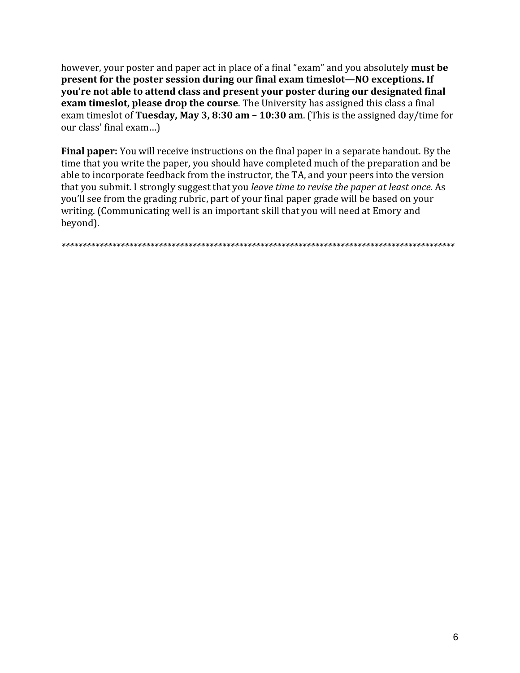however, your poster and paper act in place of a final "exam" and you absolutely **must be present for the poster session during our final exam timeslot—NO exceptions. If you're not able to attend class and present your poster during our designated final exam timeslot, please drop the course**. The University has assigned this class a final exam timeslot of Tuesday, May 3, 8:30 am – 10:30 am. (This is the assigned day/time for our class' final exam...)

**Final paper:** You will receive instructions on the final paper in a separate handout. By the time that you write the paper, you should have completed much of the preparation and be able to incorporate feedback from the instructor, the TA, and your peers into the version that you submit. I strongly suggest that you *leave time to revise the paper at least once.* As you'll see from the grading rubric, part of your final paper grade will be based on your writing. (Communicating well is an important skill that you will need at Emory and beyond).

*\*\*\*\*\*\*\*\*\*\*\*\*\*\*\*\*\*\*\*\*\*\*\*\*\*\*\*\*\*\*\*\*\*\*\*\*\*\*\*\*\*\*\*\*\*\*\*\*\*\*\*\*\*\*\*\*\*\*\*\*\*\*\*\*\*\*\*\*\*\*\*\*\*\*\*\*\*\*\*\*\*\*\*\*\*\*\*\*\*\*\*\*\**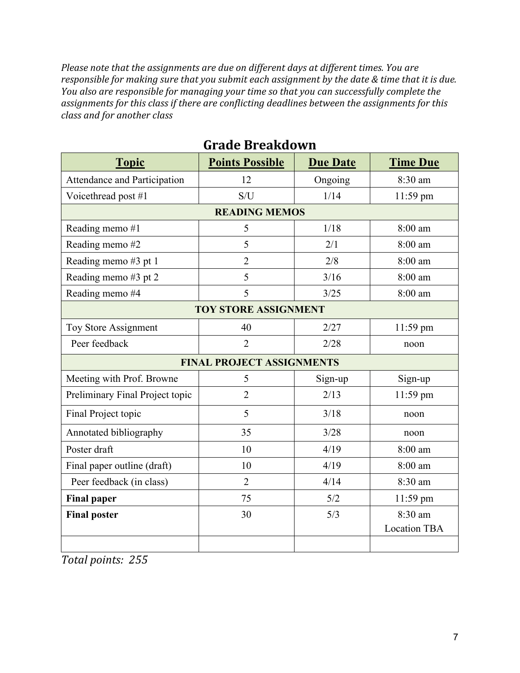Please note that the assignments are due on different days at different times. You are *responsible for making sure that you submit each assignment by the date & time that it is due. You also are responsible for managing your time so that you can successfully complete the* assignments for this class if there are conflicting deadlines between the assignments for this *class and for another class*

| <b>Topic</b>                    | <b>Points Possible</b>           | <b>Due Date</b> | <b>Time Due</b>                |  |
|---------------------------------|----------------------------------|-----------------|--------------------------------|--|
| Attendance and Participation    | 12                               | Ongoing         | 8:30 am                        |  |
| Voicethread post #1             | S/U                              | 1/14            | 11:59 pm                       |  |
|                                 | <b>READING MEMOS</b>             |                 |                                |  |
| Reading memo #1                 | 5                                | 1/18            | 8:00 am                        |  |
| Reading memo #2                 | 5                                | 2/1             | 8:00 am                        |  |
| Reading memo #3 pt 1            | $\overline{2}$                   | 2/8             | 8:00 am                        |  |
| Reading memo #3 pt 2            | 5                                | 3/16            | 8:00 am                        |  |
| Reading memo #4                 | 5                                | 3/25            | 8:00 am                        |  |
| <b>TOY STORE ASSIGNMENT</b>     |                                  |                 |                                |  |
| Toy Store Assignment            | 40                               | 2/27            | 11:59 pm                       |  |
| Peer feedback                   | $\overline{2}$                   | 2/28            | noon                           |  |
|                                 | <b>FINAL PROJECT ASSIGNMENTS</b> |                 |                                |  |
| Meeting with Prof. Browne       | 5                                | Sign-up         | Sign-up                        |  |
| Preliminary Final Project topic | $\overline{2}$                   | 2/13            | 11:59 pm                       |  |
| Final Project topic             | 5                                | 3/18            | noon                           |  |
| Annotated bibliography          | 35                               | 3/28            | noon                           |  |
| Poster draft                    | 10                               | 4/19            | 8:00 am                        |  |
| Final paper outline (draft)     | 10                               | 4/19            | 8:00 am                        |  |
| Peer feedback (in class)        | $\overline{2}$                   | 4/14            | 8:30 am                        |  |
| <b>Final paper</b>              | 75                               | 5/2             | $11:59$ pm                     |  |
| <b>Final poster</b>             | 30                               | 5/3             | 8:30 am<br><b>Location TBA</b> |  |
|                                 |                                  |                 |                                |  |

## **Grade Breakdown**

*Total points: 255*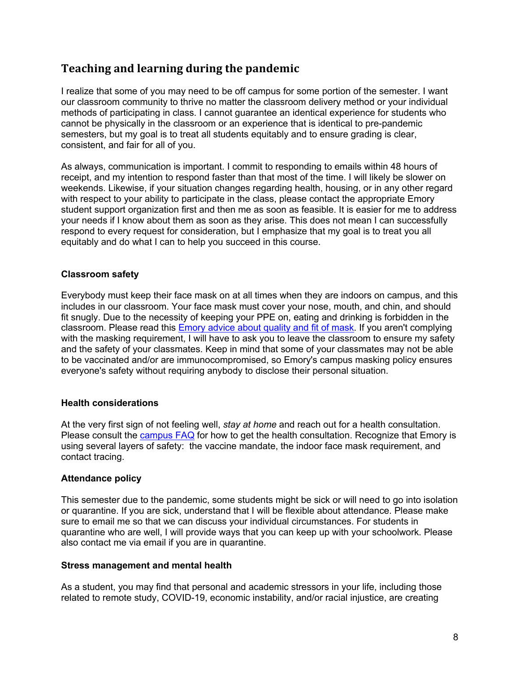## **Teaching and learning during the pandemic**

I realize that some of you may need to be off campus for some portion of the semester. I want our classroom community to thrive no matter the classroom delivery method or your individual methods of participating in class. I cannot guarantee an identical experience for students who cannot be physically in the classroom or an experience that is identical to pre-pandemic semesters, but my goal is to treat all students equitably and to ensure grading is clear, consistent, and fair for all of you.

As always, communication is important. I commit to responding to emails within 48 hours of receipt, and my intention to respond faster than that most of the time. I will likely be slower on weekends. Likewise, if your situation changes regarding health, housing, or in any other regard with respect to your ability to participate in the class, please contact the appropriate Emory student support organization first and then me as soon as feasible. It is easier for me to address your needs if I know about them as soon as they arise. This does not mean I can successfully respond to every request for consideration, but I emphasize that my goal is to treat you all equitably and do what I can to help you succeed in this course.

#### **Classroom safety**

Everybody must keep their face mask on at all times when they are indoors on campus, and this includes in our classroom. Your face mask must cover your nose, mouth, and chin, and should fit snugly. Due to the necessity of keeping your PPE on, eating and drinking is forbidden in the classroom. Please read this Emory advice about quality and fit of mask. If you aren't complying with the masking requirement, I will have to ask you to leave the classroom to ensure my safety and the safety of your classmates. Keep in mind that some of your classmates may not be able to be vaccinated and/or are immunocompromised, so Emory's campus masking policy ensures everyone's safety without requiring anybody to disclose their personal situation.

#### **Health considerations**

At the very first sign of not feeling well, *stay at home* and reach out for a health consultation. Please consult the campus FAQ for how to get the health consultation. Recognize that Emory is using several layers of safety: the vaccine mandate, the indoor face mask requirement, and contact tracing.

#### **Attendance policy**

This semester due to the pandemic, some students might be sick or will need to go into isolation or quarantine. If you are sick, understand that I will be flexible about attendance. Please make sure to email me so that we can discuss your individual circumstances. For students in quarantine who are well, I will provide ways that you can keep up with your schoolwork. Please also contact me via email if you are in quarantine.

#### **Stress management and mental health**

As a student, you may find that personal and academic stressors in your life, including those related to remote study, COVID-19, economic instability, and/or racial injustice, are creating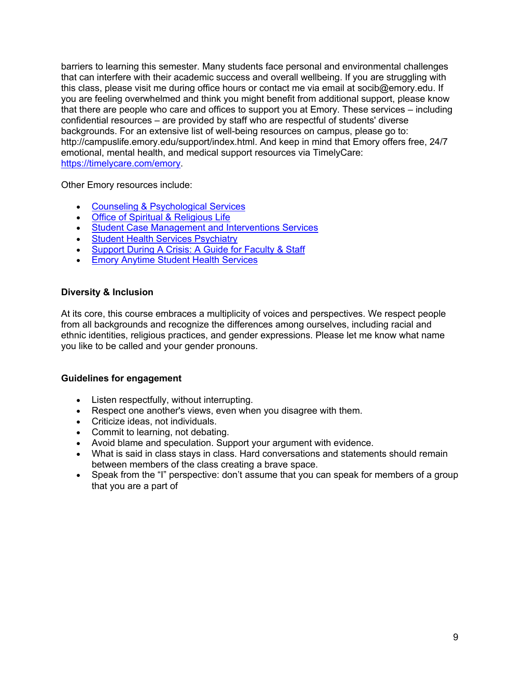barriers to learning this semester. Many students face personal and environmental challenges that can interfere with their academic success and overall wellbeing. If you are struggling with this class, please visit me during office hours or contact me via email at socib@emory.edu. If you are feeling overwhelmed and think you might benefit from additional support, please know that there are people who care and offices to support you at Emory. These services – including confidential resources – are provided by staff who are respectful of students' diverse backgrounds. For an extensive list of well-being resources on campus, please go to: http://campuslife.emory.edu/support/index.html. And keep in mind that Emory offers free, 24/7 emotional, mental health, and medical support resources via TimelyCare: https://timelycare.com/emory.

Other Emory resources include:

- Counseling & Psychological Services
- Office of Spiritual & Religious Life
- Student Case Management and Interventions Services
- Student Health Services Psychiatry
- Support During A Crisis: A Guide for Faculty & Staff
- Emory Anytime Student Health Services

#### **Diversity & Inclusion**

At its core, this course embraces a multiplicity of voices and perspectives. We respect people from all backgrounds and recognize the differences among ourselves, including racial and ethnic identities, religious practices, and gender expressions. Please let me know what name you like to be called and your gender pronouns.

#### **Guidelines for engagement**

- Listen respectfully, without interrupting.
- Respect one another's views, even when you disagree with them.
- Criticize ideas, not individuals.
- Commit to learning, not debating.
- Avoid blame and speculation. Support your argument with evidence.
- What is said in class stays in class. Hard conversations and statements should remain between members of the class creating a brave space.
- Speak from the "I" perspective: don't assume that you can speak for members of a group that you are a part of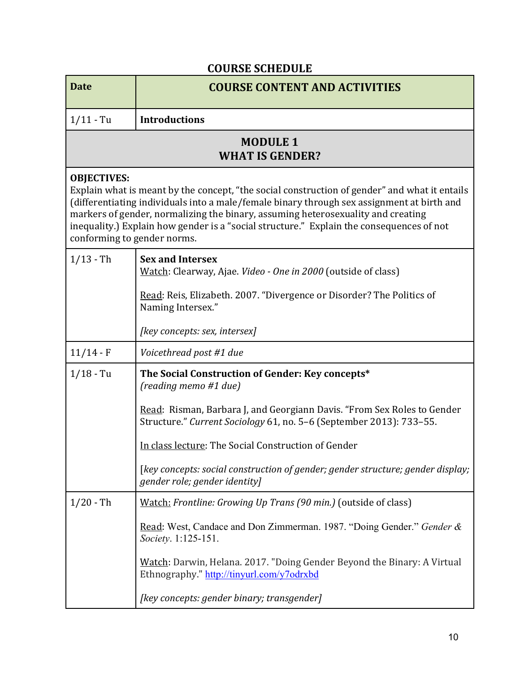## **COURSE SCHEDULE**

| <b>Date</b>                                       | <b>COURSE CONTENT AND ACTIVITIES</b>                                                                                                                                                                                                                                                                                                                                        |  |
|---------------------------------------------------|-----------------------------------------------------------------------------------------------------------------------------------------------------------------------------------------------------------------------------------------------------------------------------------------------------------------------------------------------------------------------------|--|
| $1/11 - Tu$                                       | <b>Introductions</b>                                                                                                                                                                                                                                                                                                                                                        |  |
| <b>MODULE 1</b><br><b>WHAT IS GENDER?</b>         |                                                                                                                                                                                                                                                                                                                                                                             |  |
| <b>OBJECTIVES:</b><br>conforming to gender norms. | Explain what is meant by the concept, "the social construction of gender" and what it entails<br>(differentiating individuals into a male/female binary through sex assignment at birth and<br>markers of gender, normalizing the binary, assuming heterosexuality and creating<br>inequality.) Explain how gender is a "social structure." Explain the consequences of not |  |
| $1/13 - Th$                                       | <b>Sex and Intersex</b><br>Watch: Clearway, Ajae. <i>Video - One in 2000</i> (outside of class)                                                                                                                                                                                                                                                                             |  |
|                                                   | Read: Reis, Elizabeth. 2007. "Divergence or Disorder? The Politics of<br>Naming Intersex."                                                                                                                                                                                                                                                                                  |  |
|                                                   | [key concepts: sex, intersex]                                                                                                                                                                                                                                                                                                                                               |  |
| $11/14 - F$                                       | Voicethread post #1 due                                                                                                                                                                                                                                                                                                                                                     |  |
| $1/18 - Tu$                                       | The Social Construction of Gender: Key concepts*<br>(reading memo #1 due)                                                                                                                                                                                                                                                                                                   |  |
|                                                   | Read: Risman, Barbara J, and Georgiann Davis. "From Sex Roles to Gender<br>Structure." Current Sociology 61, no. 5-6 (September 2013): 733-55.                                                                                                                                                                                                                              |  |
|                                                   | In class lecture: The Social Construction of Gender                                                                                                                                                                                                                                                                                                                         |  |
|                                                   | [key concepts: social construction of gender; gender structure; gender display;<br>gender role; gender identity]                                                                                                                                                                                                                                                            |  |
| $1/20 - Th$                                       | Watch: Frontline: Growing Up Trans (90 min.) (outside of class)                                                                                                                                                                                                                                                                                                             |  |
|                                                   | Read: West, Candace and Don Zimmerman. 1987. "Doing Gender." Gender &<br>Society. 1:125-151.                                                                                                                                                                                                                                                                                |  |
|                                                   | Watch: Darwin, Helana. 2017. "Doing Gender Beyond the Binary: A Virtual<br>Ethnography." http://tinyurl.com/y7odrxbd                                                                                                                                                                                                                                                        |  |
|                                                   | [key concepts: gender binary; transgender]                                                                                                                                                                                                                                                                                                                                  |  |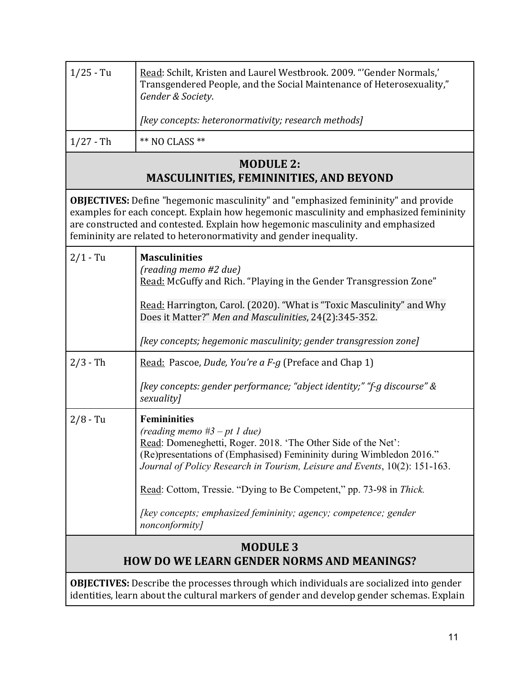| $1/25 - Tu$                                                          | Read: Schilt, Kristen and Laurel Westbrook. 2009. "'Gender Normals,'<br>Transgendered People, and the Social Maintenance of Heterosexuality,"<br>Gender & Society.                                                                                                                                                                           |  |
|----------------------------------------------------------------------|----------------------------------------------------------------------------------------------------------------------------------------------------------------------------------------------------------------------------------------------------------------------------------------------------------------------------------------------|--|
|                                                                      | [key concepts: heteronormativity; research methods]                                                                                                                                                                                                                                                                                          |  |
| $1/27 - Th$                                                          | ** NO CLASS **                                                                                                                                                                                                                                                                                                                               |  |
|                                                                      | <b>MODULE 2:</b><br><b>MASCULINITIES, FEMININITIES, AND BEYOND</b>                                                                                                                                                                                                                                                                           |  |
|                                                                      | <b>OBJECTIVES:</b> Define "hegemonic masculinity" and "emphasized femininity" and provide<br>examples for each concept. Explain how hegemonic masculinity and emphasized femininity<br>are constructed and contested. Explain how hegemonic masculinity and emphasized<br>femininity are related to heteronormativity and gender inequality. |  |
| $2/1 - Tu$                                                           | <b>Masculinities</b><br>(reading memo #2 due)<br>Read: McGuffy and Rich. "Playing in the Gender Transgression Zone"                                                                                                                                                                                                                          |  |
|                                                                      | Read: Harrington, Carol. (2020). "What is "Toxic Masculinity" and Why<br>Does it Matter?" Men and Masculinities, 24(2):345-352.                                                                                                                                                                                                              |  |
|                                                                      | [key concepts; hegemonic masculinity; gender transgression zone]                                                                                                                                                                                                                                                                             |  |
| $2/3 - Th$                                                           | Read: Pascoe, Dude, You're a F-g (Preface and Chap 1)                                                                                                                                                                                                                                                                                        |  |
|                                                                      | [key concepts: gender performance; "abject identity;" "f-g discourse" &<br>sexuality]                                                                                                                                                                                                                                                        |  |
| $2/8 - Tu$                                                           | <b>Femininities</b><br>(reading memo $#3 - pt$ 1 due)<br>Read: Domeneghetti, Roger. 2018. 'The Other Side of the Net':<br>(Re) presentations of (Emphasised) Femininity during Wimbledon 2016."<br>Journal of Policy Research in Tourism, Leisure and Events, 10(2): 151-163.                                                                |  |
|                                                                      | Read: Cottom, Tressie. "Dying to Be Competent," pp. 73-98 in Thick.                                                                                                                                                                                                                                                                          |  |
|                                                                      | [key concepts; emphasized femininity; agency; competence; gender<br>nonconformity]                                                                                                                                                                                                                                                           |  |
| <b>MODULE 3</b><br><b>HOW DO WE LEARN GENDER NORMS AND MEANINGS?</b> |                                                                                                                                                                                                                                                                                                                                              |  |
|                                                                      | <b>OBJECTIVES:</b> Describe the processes through which individuals are socialized into gender<br>identities, learn about the cultural markers of gender and develop gender schemas. Explain                                                                                                                                                 |  |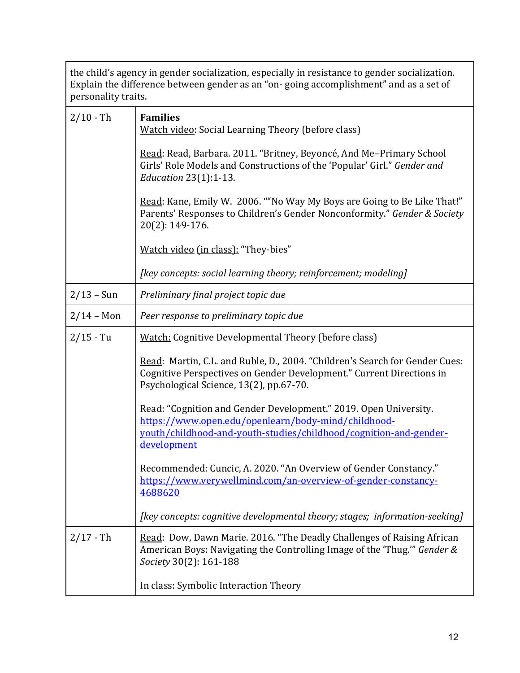| the child's agency in gender socialization, especially in resistance to gender socialization.<br>Explain the difference between gender as an "on-going accomplishment" and as a set of<br>personality traits. |                                                                                                                                                                                                                    |  |
|---------------------------------------------------------------------------------------------------------------------------------------------------------------------------------------------------------------|--------------------------------------------------------------------------------------------------------------------------------------------------------------------------------------------------------------------|--|
| $2/10 - Th$                                                                                                                                                                                                   | <b>Families</b><br><b>Watch video: Social Learning Theory (before class)</b>                                                                                                                                       |  |
|                                                                                                                                                                                                               | Read: Read, Barbara. 2011. "Britney, Beyoncé, And Me-Primary School<br>Girls' Role Models and Constructions of the 'Popular' Girl." Gender and<br><i>Education</i> 23(1):1-13.                                     |  |
|                                                                                                                                                                                                               | Read: Kane, Emily W. 2006. ""No Way My Boys are Going to Be Like That!"<br>Parents' Responses to Children's Gender Nonconformity." Gender & Society<br>20(2): 149-176.                                             |  |
|                                                                                                                                                                                                               | Watch video (in class): "They-bies"                                                                                                                                                                                |  |
|                                                                                                                                                                                                               | [key concepts: social learning theory; reinforcement; modeling]                                                                                                                                                    |  |
| $2/13 - Sun$                                                                                                                                                                                                  | Preliminary final project topic due                                                                                                                                                                                |  |
| $2/14 - Mon$                                                                                                                                                                                                  | Peer response to preliminary topic due                                                                                                                                                                             |  |
| $2/15 - Tu$                                                                                                                                                                                                   | <b>Watch: Cognitive Developmental Theory (before class)</b>                                                                                                                                                        |  |
|                                                                                                                                                                                                               | Read: Martin, C.L. and Ruble, D., 2004. "Children's Search for Gender Cues:<br>Cognitive Perspectives on Gender Development." Current Directions in<br>Psychological Science, 13(2), pp.67-70.                     |  |
|                                                                                                                                                                                                               | Read: "Cognition and Gender Development." 2019. Open University.<br>https://www.open.edu/openlearn/body-mind/childhood-<br>youth/childhood-and-youth-studies/childhood/cognition-and-gender-<br><u>development</u> |  |
|                                                                                                                                                                                                               | Recommended: Cuncic, A. 2020. "An Overview of Gender Constancy."<br>https://www.verywellmind.com/an-overview-of-gender-constancy-<br>4688620                                                                       |  |
|                                                                                                                                                                                                               | [key concepts: cognitive developmental theory; stages; information-seeking]                                                                                                                                        |  |
| $2/17 - Th$                                                                                                                                                                                                   | Read: Dow, Dawn Marie. 2016. "The Deadly Challenges of Raising African<br>American Boys: Navigating the Controlling Image of the 'Thug.'" Gender &<br>Society 30(2): 161-188                                       |  |
|                                                                                                                                                                                                               | In class: Symbolic Interaction Theory                                                                                                                                                                              |  |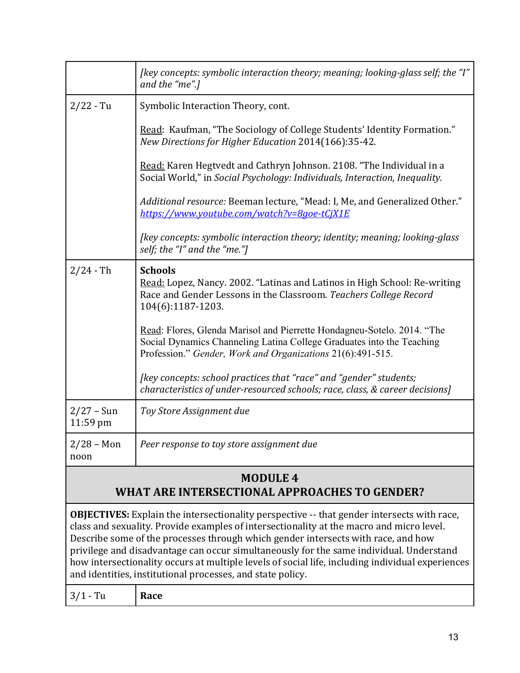|                          | [key concepts: symbolic interaction theory; meaning; looking-glass self; the "I"<br>and the "me".]                                                                                                             |  |
|--------------------------|----------------------------------------------------------------------------------------------------------------------------------------------------------------------------------------------------------------|--|
| $2/22 - Tu$              | Symbolic Interaction Theory, cont.                                                                                                                                                                             |  |
|                          | Read: Kaufman, "The Sociology of College Students' Identity Formation."<br>New Directions for Higher Education 2014(166):35-42.                                                                                |  |
|                          | Read: Karen Hegtvedt and Cathryn Johnson. 2108. "The Individual in a<br>Social World," in Social Psychology: Individuals, Interaction, Inequality.                                                             |  |
|                          | Additional resource: Beeman lecture, "Mead: I, Me, and Generalized Other."<br>https://www.youtube.com/watch?v=8goe-tCjX1E                                                                                      |  |
|                          | [key concepts: symbolic interaction theory; identity; meaning; looking-glass<br>self; the "I" and the "me."]                                                                                                   |  |
| $2/24 - Th$              | <b>Schools</b><br>Read: Lopez, Nancy. 2002. "Latinas and Latinos in High School: Re-writing<br>Race and Gender Lessons in the Classroom. Teachers College Record<br>104(6):1187-1203.                          |  |
|                          | Read: Flores, Glenda Marisol and Pierrette Hondagneu-Sotelo. 2014. "The<br>Social Dynamics Channeling Latina College Graduates into the Teaching<br>Profession." Gender, Work and Organizations 21(6):491-515. |  |
|                          | [key concepts: school practices that "race" and "gender" students;<br>characteristics of under-resourced schools; race, class, & career decisions]                                                             |  |
| $2/27 - Sun$<br>11:59 pm | Toy Store Assignment due                                                                                                                                                                                       |  |
| $2/28 - Mon$<br>noon     | Peer response to toy store assignment due                                                                                                                                                                      |  |
|                          | <b>MODULE 4</b><br>WHAT ARE INTERSECTIONAL APPROACHES TO GENDER?                                                                                                                                               |  |

**OBJECTIVES:** Explain the intersectionality perspective -- that gender intersects with race, class and sexuality. Provide examples of intersectionality at the macro and micro level. Describe some of the processes through which gender intersects with race, and how privilege and disadvantage can occur simultaneously for the same individual. Understand how intersectionality occurs at multiple levels of social life, including individual experiences and identities, institutional processes, and state policy.

| 0/14<br>m<br>. .<br>$\sim$ $\sim$<br>$\mathbf{u}$<br>ັ<br><u>_</u> | Race |  |  |  |
|--------------------------------------------------------------------|------|--|--|--|
|--------------------------------------------------------------------|------|--|--|--|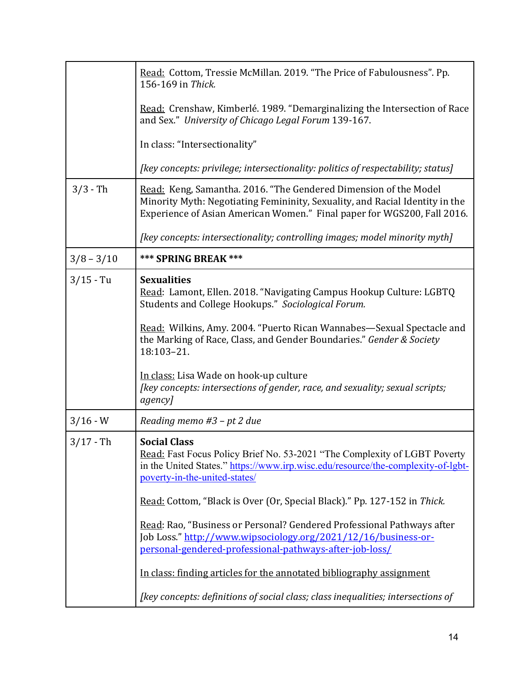|              | Read: Cottom, Tressie McMillan. 2019. "The Price of Fabulousness". Pp.<br>156-169 in Thick.                                                                                                                                 |
|--------------|-----------------------------------------------------------------------------------------------------------------------------------------------------------------------------------------------------------------------------|
|              | Read: Crenshaw, Kimberlé. 1989. "Demarginalizing the Intersection of Race<br>and Sex." University of Chicago Legal Forum 139-167.                                                                                           |
|              | In class: "Intersectionality"                                                                                                                                                                                               |
|              | [key concepts: privilege; intersectionality: politics of respectability; status]                                                                                                                                            |
| $3/3 - Th$   | Read: Keng, Samantha. 2016. "The Gendered Dimension of the Model<br>Minority Myth: Negotiating Femininity, Sexuality, and Racial Identity in the<br>Experience of Asian American Women." Final paper for WGS200, Fall 2016. |
|              | [key concepts: intersectionality; controlling images; model minority myth]                                                                                                                                                  |
| $3/8 - 3/10$ | <b>*** SPRING BREAK ***</b>                                                                                                                                                                                                 |
| $3/15 - Tu$  | <b>Sexualities</b><br>Read: Lamont, Ellen. 2018. "Navigating Campus Hookup Culture: LGBTQ<br>Students and College Hookups." Sociological Forum.                                                                             |
|              | Read: Wilkins, Amy. 2004. "Puerto Rican Wannabes—Sexual Spectacle and<br>the Marking of Race, Class, and Gender Boundaries." Gender & Society<br>18:103-21.                                                                 |
|              | In class: Lisa Wade on hook-up culture<br>[key concepts: intersections of gender, race, and sexuality; sexual scripts;<br>agency]                                                                                           |
| $3/16 - W$   | Reading memo $#3$ – pt 2 due                                                                                                                                                                                                |
| $3/17 - Th$  | <b>Social Class</b><br>Read: Fast Focus Policy Brief No. 53-2021 "The Complexity of LGBT Poverty<br>in the United States." https://www.irp.wisc.edu/resource/the-complexity-of-lgbt-<br>poverty-in-the-united-states/       |
|              | Read: Cottom, "Black is Over (Or, Special Black)." Pp. 127-152 in Thick.                                                                                                                                                    |
|              | Read: Rao, "Business or Personal? Gendered Professional Pathways after<br>Job Loss." http://www.wipsociology.org/2021/12/16/business-or-<br>personal-gendered-professional-pathways-after-job-loss/                         |
|              | In class: finding articles for the annotated bibliography assignment                                                                                                                                                        |
|              | [key concepts: definitions of social class; class inequalities; intersections of                                                                                                                                            |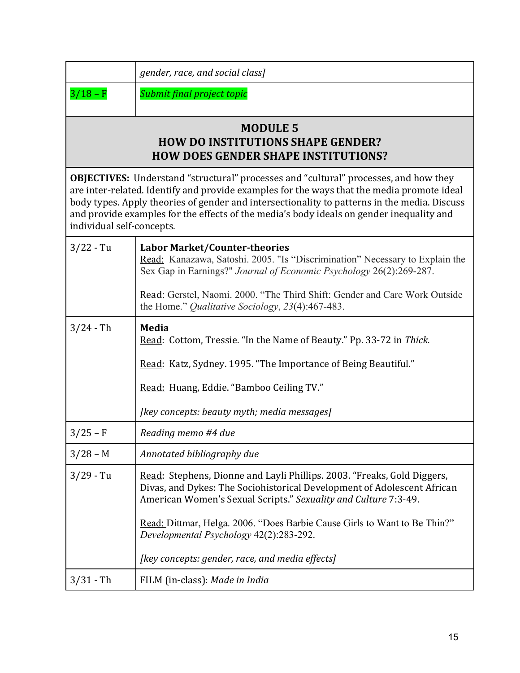| gender, race, and social class] |  |
|---------------------------------|--|

3/18 – F **Submit** final project topic

## **MODULE 5 HOW DO INSTITUTIONS SHAPE GENDER? HOW DOES GENDER SHAPE INSTITUTIONS?**

**OBJECTIVES:** Understand "structural" processes and "cultural" processes, and how they are inter-related. Identify and provide examples for the ways that the media promote ideal body types. Apply theories of gender and intersectionality to patterns in the media. Discuss and provide examples for the effects of the media's body ideals on gender inequality and individual self-concepts.

| $3/22 - Tu$ | <b>Labor Market/Counter-theories</b><br>Read: Kanazawa, Satoshi. 2005. "Is "Discrimination" Necessary to Explain the<br>Sex Gap in Earnings?" Journal of Economic Psychology 26(2):269-287.<br>Read: Gerstel, Naomi. 2000. "The Third Shift: Gender and Care Work Outside<br>the Home." Qualitative Sociology, 23(4):467-483.                                                                    |
|-------------|--------------------------------------------------------------------------------------------------------------------------------------------------------------------------------------------------------------------------------------------------------------------------------------------------------------------------------------------------------------------------------------------------|
| $3/24 - Th$ | <b>Media</b><br>Read: Cottom, Tressie. "In the Name of Beauty." Pp. 33-72 in Thick.<br>Read: Katz, Sydney. 1995. "The Importance of Being Beautiful."<br>Read: Huang, Eddie. "Bamboo Ceiling TV."<br>[key concepts: beauty myth; media messages]                                                                                                                                                 |
| $3/25 - F$  | Reading memo #4 due                                                                                                                                                                                                                                                                                                                                                                              |
| $3/28 - M$  | Annotated bibliography due                                                                                                                                                                                                                                                                                                                                                                       |
| $3/29 - Tu$ | Read: Stephens, Dionne and Layli Phillips. 2003. "Freaks, Gold Diggers,<br>Divas, and Dykes: The Sociohistorical Development of Adolescent African<br>American Women's Sexual Scripts." Sexuality and Culture 7:3-49.<br>Read: Dittmar, Helga. 2006. "Does Barbie Cause Girls to Want to Be Thin?"<br>Developmental Psychology 42(2):283-292.<br>[key concepts: gender, race, and media effects] |
| $3/31 - Th$ | FILM (in-class): Made in India                                                                                                                                                                                                                                                                                                                                                                   |